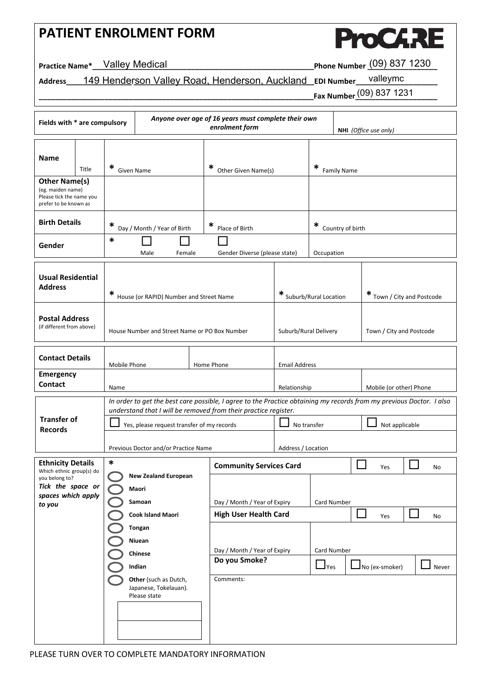## **PATIENT ENROLMENT FORM**



**Practice Name\*\_\_\_\_\_\_\_\_\_\_\_\_\_\_\_\_\_\_\_\_\_\_\_\_\_\_\_\_\_\_\_\_\_\_\_\_\_\_\_\_\_\_\_\_\_\_\_\_\_\_\_\_\_\_Phone Number \_\_\_\_\_\_\_\_\_\_\_\_\_\_\_\_\_** Valley Medical (09) 837 1230

### Address\_\_\_\_149 Hender<u>son Valley Road, Henderson, Auckland\_</u>EDI Number\_\_\_<sup>valleymc</sup>\_\_\_\_\_\_

**\_\_\_\_\_\_\_\_\_\_\_\_\_\_\_\_\_\_\_\_\_\_\_\_\_\_\_\_\_\_\_\_\_\_\_\_\_\_\_\_\_\_\_\_\_\_\_\_\_\_\_\_\_\_\_\_\_\_\_\_\_\_\_\_\_\_\_Fax Number\_\_\_\_\_\_\_\_\_\_\_\_\_\_\_\_\_\_\_\_**  (09) 837 1231

| Anyone over age of 16 years must complete their own<br>Fields with * are compulsory<br>enrolment form<br>NHI (Office use only) |                                    |                                                                                                                                                       |                                                                |                              |                                                      |                                                                                                                                                                             |                                                   |                          |                            |  |    |
|--------------------------------------------------------------------------------------------------------------------------------|------------------------------------|-------------------------------------------------------------------------------------------------------------------------------------------------------|----------------------------------------------------------------|------------------------------|------------------------------------------------------|-----------------------------------------------------------------------------------------------------------------------------------------------------------------------------|---------------------------------------------------|--------------------------|----------------------------|--|----|
| Name<br><b>Other Name(s)</b><br>(eg. maiden name)<br>Please tick the name you<br>prefer to be known as                         | ∗<br>Title<br><b>Given Name</b>    |                                                                                                                                                       |                                                                | * Other Given Name(s)        |                                                      | ∗<br><b>Family Name</b>                                                                                                                                                     |                                                   |                          |                            |  |    |
| <b>Birth Details</b><br>Gender                                                                                                 |                                    | *<br>Day / Month / Year of Birth<br>*<br>Male<br>Female                                                                                               |                                                                |                              | ∗<br>Place of Birth<br>Gender Diverse (please state) |                                                                                                                                                                             | ∗<br>Country of birth<br>Occupation               |                          |                            |  |    |
| <b>Usual Residential</b><br><b>Address</b>                                                                                     |                                    | * House (or RAPID) Number and Street Name                                                                                                             |                                                                |                              |                                                      | * Suburb/Rural Location                                                                                                                                                     |                                                   |                          | * Town / City and Postcode |  |    |
| <b>Postal Address</b><br>(if different from above)                                                                             |                                    | House Number and Street Name or PO Box Number                                                                                                         |                                                                |                              |                                                      | Suburb/Rural Delivery                                                                                                                                                       |                                                   | Town / City and Postcode |                            |  |    |
| <b>Contact Details</b>                                                                                                         |                                    | Mobile Phone<br>Home Phone                                                                                                                            |                                                                |                              |                                                      | <b>Email Address</b>                                                                                                                                                        |                                                   |                          |                            |  |    |
| <b>Emergency</b><br>Contact                                                                                                    |                                    | Name                                                                                                                                                  |                                                                |                              |                                                      | Relationship                                                                                                                                                                |                                                   |                          | Mobile (or other) Phone    |  |    |
| <b>Transfer of</b><br><b>Records</b>                                                                                           |                                    | understand that I will be removed from their practice register.<br>Yes, please request transfer of my records<br>Previous Doctor and/or Practice Name |                                                                |                              |                                                      | In order to get the best care possible, I agree to the Practice obtaining my records from my previous Doctor. I also<br>No transfer<br>Not applicable<br>Address / Location |                                                   |                          |                            |  |    |
| <b>Ethnicity Details</b>                                                                                                       |                                    | *                                                                                                                                                     |                                                                |                              | <b>Community Services Card</b>                       |                                                                                                                                                                             |                                                   |                          | Yes                        |  | No |
| Which ethnic group(s) do<br>you belong to?<br>Tick the space or<br>spaces which apply<br>to you                                |                                    | <b>New Zealand European</b><br>Maori<br>Samoan                                                                                                        |                                                                |                              | Day / Month / Year of Expiry                         |                                                                                                                                                                             | Card Number                                       |                          |                            |  |    |
|                                                                                                                                |                                    | <b>Cook Island Maori</b>                                                                                                                              |                                                                |                              | <b>High User Health Card</b>                         |                                                                                                                                                                             |                                                   |                          | $\mathbf{I}$<br>Yes        |  | No |
|                                                                                                                                | <b>Tongan</b><br>Niuean<br>Chinese |                                                                                                                                                       |                                                                | Day / Month / Year of Expiry |                                                      | Card Number                                                                                                                                                                 |                                                   |                          |                            |  |    |
|                                                                                                                                |                                    | Indian                                                                                                                                                |                                                                |                              | Do you Smoke?                                        |                                                                                                                                                                             | $\Box$ Yes<br>$\mathbf I$ No (ex-smoker)<br>Never |                          |                            |  |    |
|                                                                                                                                |                                    |                                                                                                                                                       | Other (such as Dutch,<br>Japanese, Tokelauan).<br>Please state |                              | Comments:                                            |                                                                                                                                                                             |                                                   |                          |                            |  |    |